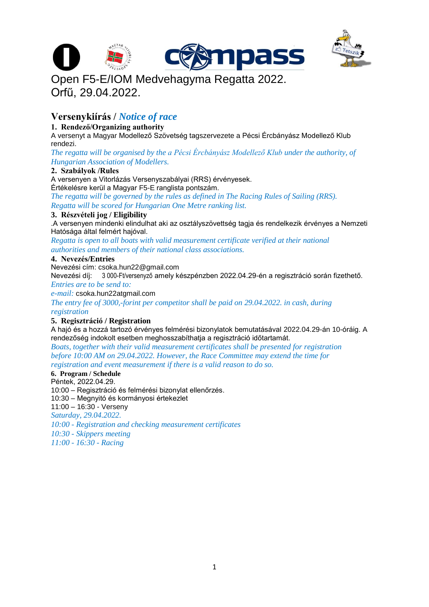



# Open F5-E/IOM Medvehagyma Regatta 2022. Orfű, 29.04.2022.

# **Versenykiírás /** *Notice of race*

# **1. Rendező/Organizing authority**

A versenyt a Magyar Modellező Szövetség tagszervezete a Pécsi Ércbányász Modellező Klub rendezi.

*The regatta will be organised by the a Pécsi Ércbányász Modellező Klub under the authority, of Hungarian Association of Modellers.*

# **2. Szabályok /Rules**

A versenyen a Vitorlázás Versenyszabályai (RRS) érvényesek. Értékelésre kerül a Magyar F5-E ranglista pontszám.

*The regatta will be governed by the rules as defined in The Racing Rules of Sailing (RRS). Regatta will be scored for Hungarian One Metre ranking list.*

# **3. Részvételi jog / Eligibility**

.A versenyen mindenki elindulhat aki az osztályszövettség tagja és rendelkezik érvényes a Nemzeti Hatósága által felmért hajóval.

*Regatta is open to all boats with valid measurement certificate verified at their national authorities and members of their national class associations.*

#### **4. Nevezés/Entries**

Nevezési cím: csoka.hun22@gmail.com

Nevezési díj: 3 000-Ft/versenyző amely készpénzben 2022.04.29-én a regisztráció során fizethető. *Entries are to be send to:*

*e-mail:* csoka.hun22atgmail.com

*The entry fee of 3000,-forint per competitor shall be paid on 29.04.2022. in cash, during registration*

# **5. Regisztráció / Registration**

A hajó és a hozzá tartozó érvényes felmérési bizonylatok bemutatásával 2022.04.29-án 10-óráig. A rendezőség indokolt esetben meghosszabíthatja a regisztráció időtartamát.

*Boats, together with their valid measurement certificates shall be presented for registration before 10:00 AM on 29.04.2022. However, the Race Committee may extend the time for registration and event measurement if there is a valid reason to do so.*

# **6. Program / Schedule**

Péntek, 2022.04.29.

10:00 – Regisztráció és felmérési bizonylat ellenőrzés.

10:30 – Megnyitó és kormányosi értekezlet

11:00 – 16:30 - Verseny

*Saturday, 29.04.2022.*

*10:00 - Registration and checking measurement certificates*

*10:30 - Skippers meeting*

*11:00 - 16:30 - Racing*